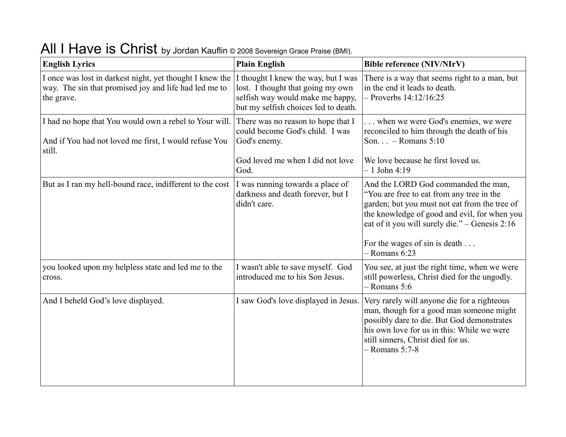| <b>English Lyrics</b>                                                                                                           | <b>Plain English</b>                                                                                                                                 | <b>Bible reference (NIV/NIrV)</b>                                                                                                                                                                                                                                                       |
|---------------------------------------------------------------------------------------------------------------------------------|------------------------------------------------------------------------------------------------------------------------------------------------------|-----------------------------------------------------------------------------------------------------------------------------------------------------------------------------------------------------------------------------------------------------------------------------------------|
| I once was lost in darkest night, yet thought I knew the<br>way. The sin that promised joy and life had led me to<br>the grave. | I thought I knew the way, but I was<br>lost. I thought that going my own<br>selfish way would make me happy,<br>but my selfish choices led to death. | There is a way that seems right to a man, but<br>in the end it leads to death.<br>$-$ Proverbs $14:12/16:25$                                                                                                                                                                            |
| I had no hope that You would own a rebel to Your will.<br>And if You had not loved me first, I would refuse You<br>still.       | There was no reason to hope that I<br>could become God's child. I was<br>God's enemy.<br>God loved me when I did not love<br>God.                    | when we were God's enemies, we were<br>reconciled to him through the death of his<br>Son $-$ Romans 5:10<br>We love because he first loved us.<br>$-1$ John 4:19                                                                                                                        |
| But as I ran my hell-bound race, indifferent to the cost                                                                        | I was running towards a place of<br>darkness and death forever, but I<br>didn't care.                                                                | And the LORD God commanded the man,<br>"You are free to eat from any tree in the<br>garden; but you must not eat from the tree of<br>the knowledge of good and evil, for when you<br>eat of it you will surely die." – Genesis 2:16<br>For the wages of sin is death<br>$-$ Romans 6:23 |
| you looked upon my helpless state and led me to the<br>cross.                                                                   | I wasn't able to save myself. God<br>introduced me to his Son Jesus.                                                                                 | You see, at just the right time, when we were<br>still powerless, Christ died for the ungodly.<br>$-$ Romans 5:6                                                                                                                                                                        |
| And I beheld God's love displayed.                                                                                              | I saw God's love displayed in Jesus.                                                                                                                 | Very rarely will anyone die for a righteous<br>man, though for a good man someone might<br>possibly dare to die. But God demonstrates<br>his own love for us in this: While we were<br>still sinners, Christ died for us.<br>$-$ Romans 5:7-8                                           |

## All I Have is Christ by Jordan Kauflin © 2008 Sovereign Grace Praise (BMI).